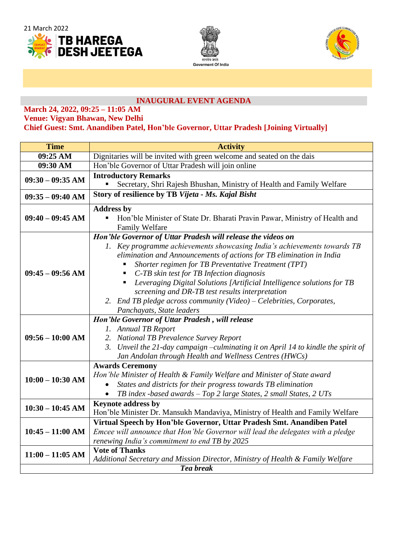





# **INAUGURAL EVENT AGENDA**

# **March 24, 2022, 09:25 – 11:05 AM**

**Venue: Vigyan Bhawan, New Delhi**

## **Chief Guest: Smt. Anandiben Patel, Hon'ble Governor, Uttar Pradesh [Joining Virtually]**

| <b>Time</b>        | <b>Activity</b>                                                                                                                                                                                                                                                                                                                                                                                                                                                                                                                                                  |
|--------------------|------------------------------------------------------------------------------------------------------------------------------------------------------------------------------------------------------------------------------------------------------------------------------------------------------------------------------------------------------------------------------------------------------------------------------------------------------------------------------------------------------------------------------------------------------------------|
| 09:25 AM           | Dignitaries will be invited with green welcome and seated on the dais                                                                                                                                                                                                                                                                                                                                                                                                                                                                                            |
| 09:30 AM           | Hon'ble Governor of Uttar Pradesh will join online                                                                                                                                                                                                                                                                                                                                                                                                                                                                                                               |
| $09:30 - 09:35$ AM | <b>Introductory Remarks</b><br>Secretary, Shri Rajesh Bhushan, Ministry of Health and Family Welfare                                                                                                                                                                                                                                                                                                                                                                                                                                                             |
| $09:35 - 09:40 AM$ | Story of resilience by TB Vijeta - Ms. Kajal Bisht                                                                                                                                                                                                                                                                                                                                                                                                                                                                                                               |
| $09:40 - 09:45 AM$ | <b>Address by</b><br>Ξ.<br>Hon'ble Minister of State Dr. Bharati Pravin Pawar, Ministry of Health and<br><b>Family Welfare</b>                                                                                                                                                                                                                                                                                                                                                                                                                                   |
| $09:45 - 09:56$ AM | Hon'ble Governor of Uttar Pradesh will release the videos on<br>1. Key programme achievements showcasing India's achievements towards TB<br>elimination and Announcements of actions for TB elimination in India<br>Shorter regimen for TB Preventative Treatment (TPT)<br>п<br>C-TB skin test for TB Infection diagnosis<br>п<br>Leveraging Digital Solutions [Artificial Intelligence solutions for TB<br>screening and DR-TB test results interpretation<br>2. End TB pledge across community (Video) – Celebrities, Corporates,<br>Panchayats, State leaders |
| $09:56 - 10:00$ AM | Hon'ble Governor of Uttar Pradesh, will release<br>1. Annual TB Report<br>2. National TB Prevalence Survey Report<br>3. Unveil the 21-day campaign -culminating it on April 14 to kindle the spirit of<br>Jan Andolan through Health and Wellness Centres (HWCs)                                                                                                                                                                                                                                                                                                 |
| $10:00 - 10:30$ AM | <b>Awards Ceremony</b><br>Hon'ble Minister of Health & Family Welfare and Minister of State award<br>States and districts for their progress towards TB elimination<br>TB index -based awards - Top 2 large States, 2 small States, 2 UTs                                                                                                                                                                                                                                                                                                                        |
| $10:30 - 10:45$ AM | <b>Keynote address by</b><br>Hon'ble Minister Dr. Mansukh Mandaviya, Ministry of Health and Family Welfare                                                                                                                                                                                                                                                                                                                                                                                                                                                       |
| $10:45 - 11:00$ AM | Virtual Speech by Hon'ble Governor, Uttar Pradesh Smt. Anandiben Patel<br>Emcee will announce that Hon'ble Governor will lead the delegates with a pledge<br>renewing India's commitment to end TB by 2025                                                                                                                                                                                                                                                                                                                                                       |
| $11:00 - 11:05$ AM | <b>Vote of Thanks</b><br>Additional Secretary and Mission Director, Ministry of Health & Family Welfare<br><b>Tea break</b>                                                                                                                                                                                                                                                                                                                                                                                                                                      |
|                    |                                                                                                                                                                                                                                                                                                                                                                                                                                                                                                                                                                  |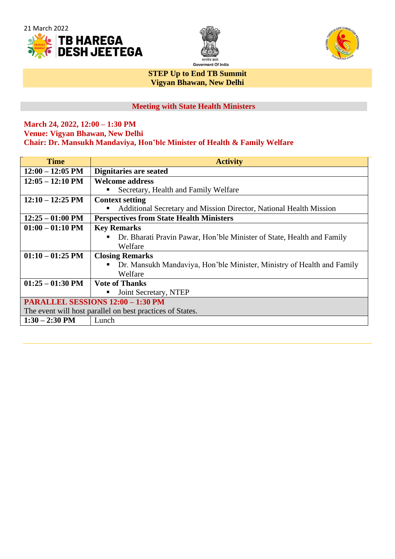





#### **STEP Up to End TB Summit Vigyan Bhawan, New Delhi**

# **Meeting with State Health Ministers**

#### **March 24, 2022, 12:00 – 1:30 PM Venue: Vigyan Bhawan, New Delhi Chair: Dr. Mansukh Mandaviya, Hon'ble Minister of Health & Family Welfare**

| <b>Time</b>                                               | <b>Activity</b>                                                        |
|-----------------------------------------------------------|------------------------------------------------------------------------|
| $12:00 - 12:05$ PM                                        | Dignitaries are seated                                                 |
| $12:05 - 12:10$ PM                                        | <b>Welcome address</b>                                                 |
|                                                           | Secretary, Health and Family Welfare                                   |
| $12:10 - 12:25$ PM                                        | <b>Context setting</b>                                                 |
|                                                           | Additional Secretary and Mission Director, National Health Mission     |
| $12:25 - 01:00$ PM                                        | <b>Perspectives from State Health Ministers</b>                        |
| $01:00 - 01:10$ PM                                        | <b>Key Remarks</b>                                                     |
|                                                           | Dr. Bharati Pravin Pawar, Hon'ble Minister of State, Health and Family |
|                                                           | Welfare                                                                |
| $01:10 - 01:25$ PM                                        | <b>Closing Remarks</b>                                                 |
|                                                           | Dr. Mansukh Mandaviya, Hon'ble Minister, Ministry of Health and Family |
|                                                           | Welfare                                                                |
| $01:25 - 01:30$ PM                                        | <b>Vote of Thanks</b>                                                  |
|                                                           | Joint Secretary, NTEP                                                  |
| <b>PARALLEL SESSIONS 12:00 - 1:30 PM</b>                  |                                                                        |
| The event will host parallel on best practices of States. |                                                                        |
| $1:30 - 2:30$ PM                                          | Lunch                                                                  |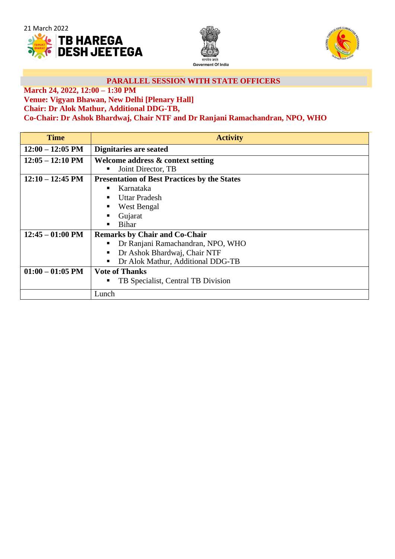





#### **PARALLEL SESSION WITH STATE OFFICERS**

**March 24, 2022, 12:00 – 1:30 PM Venue: Vigyan Bhawan, New Delhi [Plenary Hall]**

**Chair: Dr Alok Mathur, Additional DDG-TB,**

**Co-Chair: Dr Ashok Bhardwaj, Chair NTF and Dr Ranjani Ramachandran, NPO, WHO**

| <b>Time</b>                | <b>Activity</b>                                     |
|----------------------------|-----------------------------------------------------|
| $12:00 - 12:05$ PM         | <b>Dignitaries are seated</b>                       |
| $12:05 - 12:10$ PM         | Welcome address & context setting                   |
|                            | Joint Director, TB                                  |
| $12:10 - 12:45 \text{ PM}$ | <b>Presentation of Best Practices by the States</b> |
|                            | Karnataka                                           |
|                            | <b>Uttar Pradesh</b>                                |
|                            | West Bengal                                         |
|                            | Gujarat                                             |
|                            | <b>Bihar</b>                                        |
| $12:45 - 01:00 \text{ PM}$ | <b>Remarks by Chair and Co-Chair</b>                |
|                            | Dr Ranjani Ramachandran, NPO, WHO                   |
|                            | Dr Ashok Bhardwaj, Chair NTF                        |
|                            | Dr Alok Mathur, Additional DDG-TB                   |
| $01:00 - 01:05$ PM         | <b>Vote of Thanks</b>                               |
|                            | TB Specialist, Central TB Division                  |
|                            | Lunch                                               |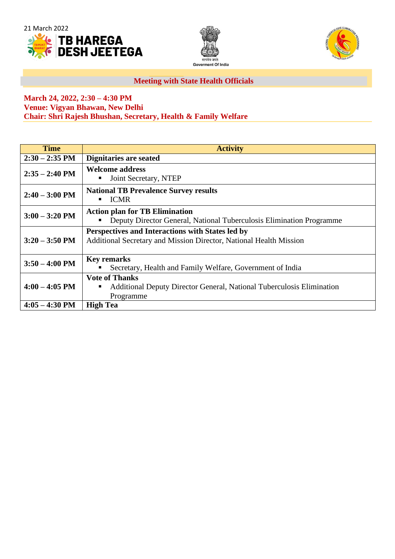





# **Meeting with State Health Officials**

#### **March 24, 2022, 2:30 – 4:30 PM Venue: Vigyan Bhawan, New Delhi Chair: Shri Rajesh Bhushan, Secretary, Health & Family Welfare**

| <b>Time</b>              | <b>Activity</b>                                                                                                        |
|--------------------------|------------------------------------------------------------------------------------------------------------------------|
| $2:30 - 2:35$ PM         | Dignitaries are seated                                                                                                 |
| $2:35 - 2:40$ PM         | <b>Welcome address</b><br>Joint Secretary, NTEP                                                                        |
| $2:40 - 3:00$ PM         | <b>National TB Prevalence Survey results</b><br><b>ICMR</b><br>п.                                                      |
| $3:00 - 3:20$ PM         | <b>Action plan for TB Elimination</b><br>Deputy Director General, National Tuberculosis Elimination Programme          |
| $3:20 - 3:50 \text{ PM}$ | Perspectives and Interactions with States led by<br>Additional Secretary and Mission Director, National Health Mission |
| $3:50 - 4:00$ PM         | <b>Key remarks</b><br>Secretary, Health and Family Welfare, Government of India                                        |
| $4:00 - 4:05$ PM         | <b>Vote of Thanks</b><br>Additional Deputy Director General, National Tuberculosis Elimination<br>Programme            |
| $4:05 - 4:30$ PM         | <b>High Tea</b>                                                                                                        |